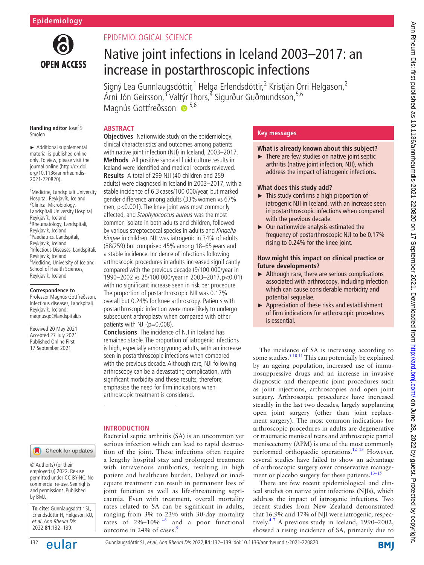

# EPIDEMIOLOGICAL SCIENCE

# Native joint infections in Iceland 2003–2017: an increase in postarthroscopic infections

Signý Lea Gunnlaugsdóttir, <sup>1</sup> Helga Erlendsdóttir, <sup>2</sup> Kristján Orri Helgason, <sup>2</sup> Árni Jón Geirsson,<sup>3</sup> Valtýr Thors,<sup>4</sup> Sigurður Guðmundsson,<sup>5,6</sup> Magnús Gottfreðsson <sup>5,6</sup>

#### **Handling editor** Josef S Smolen

► Additional supplemental material is published online only. To view, please visit the journal online ([http://dx.doi.](http://dx.doi.org/10.1136/annrheumdis-2021-220820) [org/10.1136/annrheumdis-](http://dx.doi.org/10.1136/annrheumdis-2021-220820)[2021-220820\)](http://dx.doi.org/10.1136/annrheumdis-2021-220820).

1 Medicine, Landspítali University Hospital, Reykjavík, Iceland <sup>2</sup>Clinical Microbiology, Landspítali University Hospital, Reykjavík, Iceland 3 Rheumatology, Landspitali, Reykjavik, Iceland 4 Paediatrics, Landspitali, Reykjavik, Iceland 5 Infectious Diseases, Landspitali, Reykjavik, Iceland 6 Medicine, University of Iceland School of Health Sciences, Reykjavik, Iceland

#### **Correspondence to**

Professor Magnús Gottfreðsson, Infectious diseases, Landspitali, Reykjavik, Iceland; magnusgo@landspitali.is

Received 20 May 2021 Accepted 27 July 2021 Published Online First 17 September 2021

# **ABSTRACT**

**Objectives** Nationwide study on the epidemiology, clinical characteristics and outcomes among patients with native joint infection (NJI) in Iceland, 2003–2017. **Methods** All positive synovial fluid culture results in Iceland were identified and medical records reviewed. **Results** A total of 299 NJI (40 children and 259 adults) were diagnosed in Iceland in 2003–2017, with a stable incidence of 6.3 cases/100 000/year, but marked gender difference among adults (33% women vs 67% men, p<0.001). The knee joint was most commonly affected, and Staphylococcus aureus was the most common isolate in both adults and children, followed by various streptococcal species in adults and Kingella kingae in children. NJI was iatrogenic in 34% of adults (88/259) but comprised 45% among 18–65 years and a stable incidence. Incidence of infections following arthroscopic procedures in adults increased significantly compared with the previous decade (9/100 000/year in 1990–2002 vs 25/100 000/year in 2003–2017,p<0.01) with no significant increase seen in risk per procedure. The proportion of postarthroscopic NJI was 0.17%

overall but 0.24% for knee arthroscopy. Patients with postarthroscopic infection were more likely to undergo subsequent arthroplasty when compared with other patients with NJI (p=0.008).

**Conclusions** The incidence of NJI in Iceland has remained stable. The proportion of iatrogenic infections is high, especially among young adults, with an increase seen in postarthroscopic infections when compared with the previous decade. Although rare, NJI following arthroscopy can be a devastating complication, with significant morbidity and these results, therefore, emphasise the need for firm indications when arthroscopic treatment is considered.

# **INTRODUCTION**

Bacterial septic arthritis (SA) is an uncommon yet serious infection which can lead to rapid destruction of the joint. These infections often require a lengthy hospital stay and prolonged treatment with intravenous antibiotics, resulting in high patient and healthcare burden. Delayed or inadequate treatment can result in permanent loss of joint function as well as life-threatening septicaemia. Even with treatment, overall mortality rates related to SA can be significant in adults, ranging from 3% to 23% with 30-day mortality rates of  $2\% - 10\%$ <sup>1-8</sup> and a poor functional outcome in 24% of cases.<sup>[9](#page-6-1)</sup>

# **Key messages**

# **What is already known about this subject?**

 $\blacktriangleright$  There are few studies on native joint septic arthritis (native joint infection, NJI), which address the impact of iatrogenic infections.

# **What does this study add?**

- ► This study confirms a high proportion of iatrogenic NJI in Iceland, with an increase seen in postarthroscopic infections when compared with the previous decade.
- ► Our nationwide analysis estimated the frequency of postarthroscopic NJI to be 0.17% rising to 0.24% for the knee joint.

## **How might this impact on clinical practice or future developments?**

- ► Although rare, there are serious complications associated with arthroscopy, including infection which can cause considerable morbidity and potential sequelae.
- ► Appreciation of these risks and establishment of firm indications for arthroscopic procedures is essential.

The incidence of SA is increasing according to some studies. $5^{10}$  11 This can potentially be explained by an ageing population, increased use of immunosuppressive drugs and an increase in invasive diagnostic and therapeutic joint procedures such as joint injections, arthroscopies and open joint surgery. Arthroscopic procedures have increased steadily in the last two decades, largely supplanting open joint surgery (other than joint replacement surgery). The most common indications for arthroscopic procedures in adults are degenerative or traumatic meniscal tears and arthroscopic partial meniscectomy (APM) is one of the most commonly performed orthopaedic operations.[12 13](#page-6-3) However, several studies have failed to show an advantage of arthroscopic surgery over conservative management or placebo surgery for these patients. $13-15$ 

There are few recent epidemiological and clinical studies on native joint infections (NJIs), which address the impact of iatrogenic infections. Two recent studies from New Zealand demonstrated that 16.9% and 17% of NJI were iatrogenic, respectively.<sup>47</sup> A previous study in Iceland, 1990–2002, showed a rising incidence of SA, primarily due to

#### Check for updates

© Author(s) (or their employer(s)) 2022. Re-use permitted under CC BY-NC. No commercial re-use. See rights and permissions. Published by BMJ.

**To cite:** Gunnlaugsdóttir SL, Erlendsdóttir H, Helgason KO, et al. Ann Rheum Dis 2022;**81**:132–139.

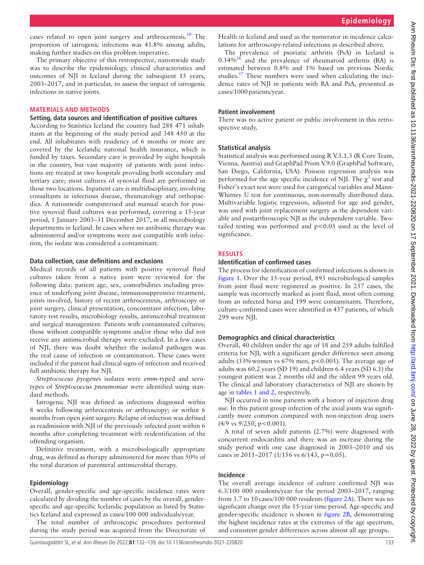cases related to open joint surgery and arthrocentesis.<sup>10</sup> The proportion of iatrogenic infections was 41.8% among adults, making further studies on this problem imperative.

The primary objective of this retrospective, nationwide study was to describe the epidemiology, clinical characteristics and outcomes of NJI in Iceland during the subsequent 15 years, 2003–2017, and in particular, to assess the impact of iatrogenic infections in native joints.

#### **MATERIALS AND METHODS**

### **Setting, data sources and identification of positive cultures**

According to Statistics Iceland the country had 288 471 inhabitants at the beginning of the study period and 348 450 at the end. All inhabitants with residency of 6 months or more are covered by the Icelandic national health insurance, which is funded by taxes. Secondary care is provided by eight hospitals in the country, but vast majority of patients with joint infections are treated at two hospitals providing both secondary and tertiary care; most cultures of synovial fluid are performed in those two locations. Inpatient care is multidisciplinary, involving consultants in infectious disease, rheumatology and orthopaedics. A nationwide computerised and manual search for positive synovial fluid cultures was performed, covering a 15-year period, 1 January 2003–31 December 2017, in all microbiology departments in Iceland. In cases where no antibiotic therapy was administered and/or symptoms were not compatible with infection, the isolate was considered a contaminant.

#### **Data collection, case definitions and exclusions**

Medical records of all patients with positive synovial fluid cultures taken from a native joint were reviewed for the following data: patient age, sex, comorbidities including presence of underlying joint disease, immunosuppressive treatment, joints involved, history of recent arthrocentesis, arthroscopy or joint surgery, clinical presentation, concomitant infection, laboratory test results, microbiology results, antimicrobial treatment and surgical management. Patients with contaminated cultures; those without compatible symptoms and/or those who did not receive any antimicrobial therapy were excluded. In a few cases of NJI, there was doubt whether the isolated pathogen was the real cause of infection or contamination. These cases were included if the patient had clinical signs of infection and received full antibiotic therapy for NJI.

*Streptococcus pyogene*s isolates were *emm-*typed and serotypes of *Streptococcus pneumoniae* were identified using standard methods.

Iatrogenic NJI was defined as infections diagnosed within 8 weeks following arthrocentesis or arthroscopy; or within 6 months from open joint surgery. Relapse of infection was defined as readmission with NJI of the previously infected joint within 6 months after completing treatment with reidentification of the offending organism.

Definitive treatment, with a microbiologically appropriate drug, was defined as therapy administered for more than 50% of the total duration of parenteral antimicrobial therapy.

#### **Epidemiology**

Overall, gender-specific and age-specific incidence rates were calculated by dividing the number of cases by the overall, genderspecific and age-specific Icelandic population as listed by Statistics Iceland and expressed as cases/100 000 individuals/year.

The total number of arthroscopic procedures performed during the study period was acquired from the Directorate of

Health in Iceland and used as the numerator in incidence calculations for arthroscopy-related infections as described above.

The prevalence of psoriatic arthritis (PsA) in Iceland is  $0.14\%$ <sup>16</sup> and the prevalence of rheumatoid arthritis (RA) is estimated between 0.8% and 1% based on previous Nordic studies.<sup>[17](#page-7-1)</sup> These numbers were used when calculating the incidence rates of NJI in patients with RA and PsA, presented as cases/1000 patients/year.

#### **Patient involvement**

There was no active patient or public involvement in this retrospective study.

## **Statistical analysis**

Statistical analysis was performed using R V.3.1.3 (R Core Team, Vienna, Austria) and GraphPad Prism V.9.0 (GraphPad Software, San Diego, California, USA). Poisson regression analysis was performed for the age specific incidence of NJI. The  $\chi^2$  test and Fisher's exact test were used for categorical variables and Mann-Whitney U test for continuous, non-normally distributed data. Multivariable logistic regression, adjusted for age and gender, was used with joint replacement surgery as the dependent variable and postarthroscopic NJI as the independent variable. Twotailed testing was performed and  $p < 0.05$  used as the level of significance.

#### **RESULTS**

#### **Identification of confirmed cases**

The process for identification of confirmed infections is shown in [figure](#page-2-0) 1. Over the 15-year period, 893 microbiological samples from joint fluid were registered as positive. In 257 cases, the sample was incorrectly marked as joint fluid, most often coming from an infected bursa and 199 were contaminants. Therefore, culture-confirmed cases were identified in 437 patients, of which 299 were NJI.

#### **Demographics and clinical characteristics**

Overall, 40 children under the age of 18 and 259 adults fulfilled criteria for NJI, with a significant gender difference seen among adults (33% women vs  $67\%$  men,  $p < 0.001$ ). The average age of adults was 60.2 years (SD 19) and children 6.4 years (SD 6.1) the youngest patient was 2 months old and the oldest 99 years old. The clinical and laboratory characteristics of NJI are shown by age in tables [1 and 2,](#page-3-0) respectively.

NJI occurred in nine patients with a history of injection drug use. In this patient group infection of the axial joints was significantly more common compared with non-injection drug users  $(4/9 \text{ vs } 9/250, \text{ p} < 0.001).$ 

A total of seven adult patients (2.7%) were diagnosed with concurrent endocarditis and there was an increase during the study period with one case diagnosed in 2003–2010 and six cases in 2011–2017 (1/156 vs  $6/143$ , p=0.05).

## **Incidence**

The overall average incidence of culture confirmed NJI was 6.3/100 000 residents/year for the period 2003–2017, ranging from 3.7 to 10cases/100 000 residents ([figure](#page-5-0) 2A). There was no significant change over the 15-year time period. Age-specific and gender-specific incidence is shown in [figure](#page-5-0) 2B, demonstrating the highest incidence rates at the extremes of the age spectrum, and consistent gender differences across almost all age groups.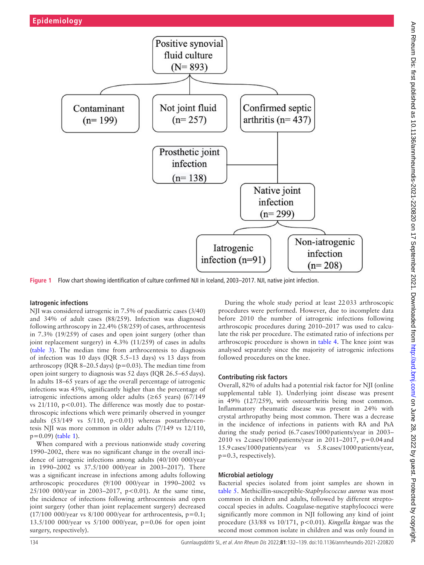

<span id="page-2-0"></span>**Figure 1** Flow chart showing identification of culture confirmed NJI in Iceland, 2003–2017. NJI, native joint infection.

## **Iatrogenic infections**

NJI was considered iatrogenic in 7.5% of paediatric cases (3/40) and 34% of adult cases (88/259). Infection was diagnosed following arthroscopy in 22.4% (58/259) of cases, arthrocentesis in 7.3% (19/259) of cases and open joint surgery (other than joint replacement surgery) in 4.3% (11/259) of cases in adults ([table](#page-5-1) 3). The median time from arthrocentesis to diagnosis of infection was 10 days (IQR 5.5–13 days) vs 13 days from arthroscopy (IQR 8–20.5 days) ( $p=0.03$ ). The median time from open joint surgery to diagnosis was 52 days (IQR 26.5–65days). In adults 18–65 years of age the overall percentage of iatrogenic infections was 45%, significantly higher than the percentage of iatrogenic infections among older adults ( $\geq 65$  years) (67/149 vs  $21/110$ ,  $p<0.01$ ). The difference was mostly due to postarthroscopic infections which were primarily observed in younger adults  $(53/149 \text{ vs } 5/110, \text{ p} < 0.01)$  whereas postarthrocentesis NJI was more common in older adults (7/149 vs 12/110,  $p=0.09$ ) ([table](#page-3-0) 1).

When compared with a previous nationwide study covering 1990–2002, there was no significant change in the overall incidence of iatrogenic infections among adults (40/100 000/year in 1990–2002 vs 37.5/100 000/year in 2003–2017). There was a significant increase in infections among adults following arthroscopic procedures (9/100 000/year in 1990–2002 vs 25/100 000/year in 2003–2017, p<0.01). At the same time, the incidence of infections following arthrocentesis and open joint surgery (other than joint replacement surgery) decreased  $(17/100\ 000/\text{year}$  vs  $8/100\ 000/\text{year}$  for arthrocentesis,  $p=0.1$ ; 13.5/100 000/year vs 5/100 000/year, p=0.06 for open joint surgery, respectively).

During the whole study period at least 22033 arthroscopic procedures were performed. However, due to incomplete data before 2010 the number of iatrogenic infections following arthroscopic procedures during 2010–2017 was used to calculate the risk per procedure. The estimated ratio of infections per arthroscopic procedure is shown in [table](#page-5-2) 4. The knee joint was analysed separately since the majority of iatrogenic infections followed procedures on the knee.

# **Contributing risk factors**

Overall, 82% of adults had a potential risk factor for NJI [\(online](https://dx.doi.org/10.1136/annrheumdis-2021-220820) [supplemental table 1\)](https://dx.doi.org/10.1136/annrheumdis-2021-220820). Underlying joint disease was present in 49% (127/259), with osteoarthritis being most common. Inflammatory rheumatic disease was present in 24% with crystal arthropathy being most common. There was a decrease in the incidence of infections in patients with RA and PsA during the study period (6.7 cases/1000 patients/year in 2003– 2010 vs 2cases/1000patients/year in 2011–2017, p=0.04and 15.9cases/1000patients/year vs 5.8cases/1000patients/year, p=0.3, respectively).

# **Microbial aetiology**

Bacterial species isolated from joint samples are shown in [table](#page-6-7) 5. Methicillin-susceptible-*Staphylococcus aureus* was most common in children and adults, followed by different streptococcal species in adults. Coagulase-negative staphylococci were significantly more common in NJI following any kind of joint procedure (33/88 vs 10/171, p<0.01). *Kingella kingae* was the second most common isolate in children and was only found in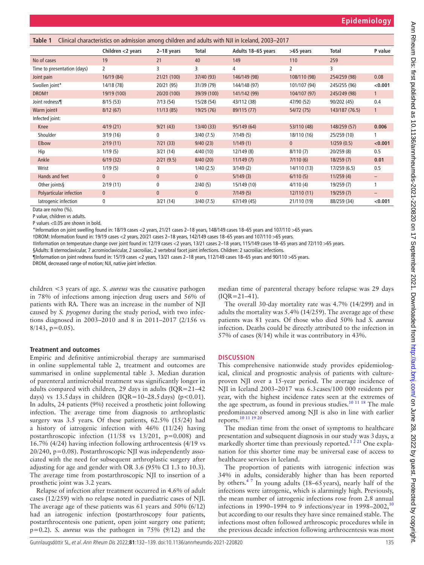<span id="page-3-0"></span>

| Clinical characteristics on admission among children and adults with NJI in Iceland, 2003–2017<br>Table 1 |                   |              |              |                    |                |                |                   |
|-----------------------------------------------------------------------------------------------------------|-------------------|--------------|--------------|--------------------|----------------|----------------|-------------------|
|                                                                                                           | Children <2 years | 2-18 years   | Total        | Adults 18-65 years | >65 years      | Total          | P value           |
| No of cases                                                                                               | 19                | 21           | 40           | 149                | 110            | 259            |                   |
| Time to presentation (days)                                                                               | 2                 | 3            | 3            | 4                  | $\overline{2}$ | 3              |                   |
| Joint pain                                                                                                | 16/19(84)         | 21/21 (100)  | 37/40 (93)   | 146/149 (98)       | 108/110 (98)   | 254/259 (98)   | 0.08              |
| Swollen joint*                                                                                            | 14/18 (78)        | 20/21 (95)   | 31/39 (79)   | 144/148 (97)       | 101/107 (94)   | 245/255 (96)   | < 0.001           |
| <b>DROM</b> <sup>+</sup>                                                                                  | 19/19 (100)       | 20/20 (100)  | 39/39 (100)  | 141/142 (99)       | 104/107 (97)   | 245/249 (98)   | $\mathbf{1}$      |
| Joint redness¶                                                                                            | 8/15(53)          | 7/13(54)     | 15/28 (54)   | 43/112 (38)        | 47/90 (52)     | 90/202 (45)    | 0.4               |
| Warm joint‡                                                                                               | 8/12(67)          | 11/13(85)    | 19/25 (76)   | 89/115 (77)        | 54/72 (75)     | 143/187 (76.5) | $\mathbf{1}$      |
| Infected joint:                                                                                           |                   |              |              |                    |                |                |                   |
| <b>Knee</b>                                                                                               | 4/19(21)          | 9/21(43)     | 13/40 (33)   | 95/149 (64)        | 53/110 (48)    | 148/259 (57)   | 0.006             |
| Shoulder                                                                                                  | 3/19(16)          | 0            | 3/40(7.5)    | 7/149(5)           | 18/110 (16)    | 25/259 (10)    |                   |
| Elbow                                                                                                     | 2/19(11)          | 7/21(33)     | 9/40(23)     | 1/149(1)           | $\mathbf{0}$   | 1/259(0.5)     | < 0.001           |
| Hip                                                                                                       | 1/19(5)           | 3/21(14)     | 4/40(10)     | 12/149 (8)         | 8/110(7)       | 20/259 (8)     | 0.5               |
| Ankle                                                                                                     | 6/19(32)          | 2/21(9.5)    | 8/40(20)     | 11/149(7)          | 7/110(6)       | 18/259(7)      | 0.01              |
| Wrist                                                                                                     | 1/19(5)           | 0            | 1/40(2.5)    | 3/149(2)           | 14/110 (13)    | 17/259 (6.5)   | 0.5               |
| Hands and feet                                                                                            | $\mathbf{0}$      | $\mathbf{0}$ | $\mathbf{0}$ | 5/149(3)           | 6/110(5)       | 11/259(4)      | $-$               |
| Other joints§                                                                                             | 2/19(11)          | 0            | 2/40(5)      | 15/149 (10)        | 4/110(4)       | 19/259 (7)     | 1                 |
| Polyarticular infection                                                                                   | $\mathbf{0}$      | $\mathbf{0}$ | $\mathbf{0}$ | 7/149(5)           | 12/110(11)     | 19/259(7)      | $\qquad \qquad -$ |
| latrogenic infection<br>$\sim$ $\sim$ $\sim$ $\sim$                                                       | 0                 | 3/21(14)     | 3/40 (7.5)   | 67/149 (45)        | 21/110 (19)    | 88/259 (34)    | < 0.001           |

Data are no/no (%).

P value, children vs adults.

P values <0.05 are shown in bold.

\*Information on joint swelling found in: 18/19 cases <2 years, 21/21 cases 2–18 years, 148/149 cases 18–65 years and 107/110 >65 years.

†DROM: Information found in: 19/19 cases <2 years, 20/21 cases 2–18 years, 142/149 cases 18–65 years and 107/110 >65 years.

‡Information on temperature change over joint found in: 12/19 cases <2 years, 13/21 cases 2–18 years, 115/149 cases 18–65 years and 72/110 >65 years.

§Adults: 8 sternoclavicular, 7 acromioclavicular, 2 sacroiliac, 2 vertebral facet joint infections. Children: 2 sacroiliac infections.

¶Information on joint redness found in: 15/19 cases <2 years, 13/21 cases 2–18 years, 112/149 cases 18–65 years and 90/110 >65 years.

DROM, decreased range of motion; NJI, native joint infection.

children <3 years of age. *S. aureus* was the causative pathogen in 78% of infections among injection drug users and 56% of patients with RA. There was an increase in the number of NJI caused by *S. pyogenes* during the study period, with two infections diagnosed in 2003–2010 and 8 in 2011–2017 (2/156 vs  $8/143$ , p=0.05).

#### **Treatment and outcomes**

Empiric and definitive antimicrobial therapy are summarised in [online supplemental table 2](https://dx.doi.org/10.1136/annrheumdis-2021-220820), treatment and outcomes are summarised in [online supplemental table 3.](https://dx.doi.org/10.1136/annrheumdis-2021-220820) Median duration of parenteral antimicrobial treatment was significantly longer in adults compared with children, 29 days in adults (IQR=21–42 days) vs 13.5 days in children (IQR=10–28.5 days) ( $p$ <0.01). In adults, 24 patients (9%) received a prosthetic joint following infection. The average time from diagnosis to arthroplastic surgery was 3.5 years. Of these patients, 62.5% (15/24) had a history of iatrogenic infection with 46% (11/24) having postarthroscopic infection (11/58 vs 13/201, p=0.008) and 16.7% (4/24) having infection following arthrocentesis (4/19 vs  $20/240$ , p=0.08). Postarthroscopic NJI was independently associated with the need for subsequent arthroplastic surgery after adjusting for age and gender with OR 3.6 (95% CI 1.3 to 10.3). The average time from postarthroscopic NJI to insertion of a prosthetic joint was 3.2 years.

Relapse of infection after treatment occurred in 4.6% of adult cases (12/259) with no relapse noted in paediatric cases of NJI. The average age of these patients was 61 years and 50% (6/12) had an iatrogenic infection (postarthroscopy four patients, postarthrocentesis one patient, open joint surgery one patient; p=0.2). *S. aureus* was the pathogen in 75% (9/12) and the median time of parenteral therapy before relapse was 29 days (IQR=21–41).

The overall 30-day mortality rate was 4.7% (14/299) and in adults the mortality was 5.4% (14/259). The average age of these patients was 81 years. Of those who died 50% had *S. aureus* infection. Deaths could be directly attributed to the infection in 57% of cases (8/14) while it was contributory in 43%.

## **DISCUSSION**

This comprehensive nationwide study provides epidemiological, clinical and prognostic analysis of patients with cultureproven NJI over a 15-year period. The average incidence of NJI in Iceland 2003–2017 was 6.3cases/100 000 residents per year, with the highest incidence rates seen at the extremes of the age spectrum, as found in previous studies.<sup>10 11 18</sup> The male predominance observed among NJI is also in line with earlier reports.[10 11 19 20](#page-6-6)

The median time from the onset of symptoms to healthcare presentation and subsequent diagnosis in our study was 3days, a markedly shorter time than previously reported.<sup>1221</sup> One explanation for this shorter time may be universal ease of access to healthcare services in Iceland.

The proportion of patients with iatrogenic infection was 34% in adults, considerably higher than has been reported by others.<sup>47</sup> In young adults (18–65 years), nearly half of the infections were iatrogenic, which is alarmingly high. Previously, the mean number of iatrogenic infections rose from 2.8 annual infections in 1990–1994 to 9 infections/year in 1998–2002, $10$ but according to our results they have since remained stable. The infections most often followed arthroscopic procedures while in the previous decade infection following arthrocentesis was most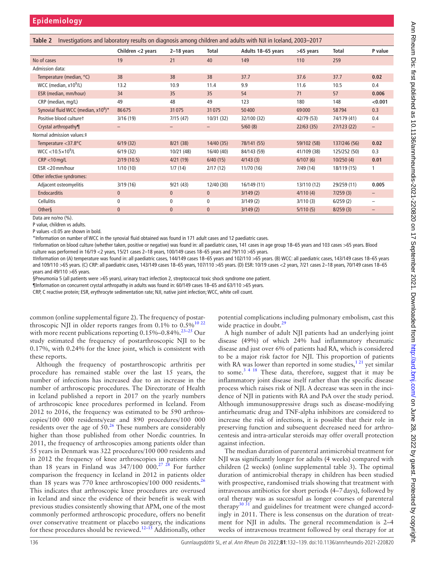| Investigations and laboratory results on diagnosis among children and adults with NJI in Iceland, 2003-2017<br>Table 2 |                   |                |              |                    |             |              |                          |
|------------------------------------------------------------------------------------------------------------------------|-------------------|----------------|--------------|--------------------|-------------|--------------|--------------------------|
|                                                                                                                        | Children <2 years | 2-18 years     | Total        | Adults 18-65 years | >65 years   | <b>Total</b> | P value                  |
| No of cases                                                                                                            | 19                | 21             | 40           | 149                | 110         | 259          |                          |
| Admission data:                                                                                                        |                   |                |              |                    |             |              |                          |
| Temperature (median, °C)                                                                                               | 38                | 38             | 38           | 37.7               | 37.6        | 37.7         | 0.02                     |
| WCC (median, $x10^9$ /L)                                                                                               | 13.2              | 10.9           | 11.4         | 9.9                | 11.6        | 10.5         | 0.4                      |
| ESR (median, mm/hour)                                                                                                  | 34                | 35             | 35           | 54                 | 71          | 57           | 0.006                    |
| CRP (median, mg/L)                                                                                                     | 49                | 48             | 49           | 123                | 180         | 148          | < 0.001                  |
| Synovial fluid WCC (median, $x10^6$ )*                                                                                 | 86675             | 31075          | 31075        | 50400              | 69000       | 58794        | 0.3                      |
| Positive blood culturet                                                                                                | 3/16(19)          | 7/15(47)       | 10/31 (32)   | 32/100 (32)        | 42/79 (53)  | 74/179 (41)  | 0.4                      |
| Crystal arthropathy¶                                                                                                   |                   |                |              | 5/60(8)            | 22/63(35)   | 27/123 (22)  | -                        |
| Normal admission values: ‡                                                                                             |                   |                |              |                    |             |              |                          |
| Temperature $<$ 37.8 $^{\circ}$ C                                                                                      | 6/19(32)          | 8/21(38)       | 14/40(35)    | 78/141 (55)        | 59/102 (58) | 137/246 (56) | 0.02                     |
| $WCC < 10.5 \times 10^9$ /L                                                                                            | 6/19(32)          | 10/21 (48)     | 16/40 (40)   | 84/143 (59)        | 41/109 (38) | 125/252 (50) | 0.3                      |
| $CRP < 10$ mg/L                                                                                                        | 2/19(10.5)        | 4/21(19)       | 6/40(15)     | 4/143(3)           | 6/107(6)    | 10/250(4)    | 0.01                     |
| ESR <20 mm/hour                                                                                                        | 1/10(10)          | 1/7(14)        | 2/17(12)     | 11/70 (16)         | 7/49 (14)   | 18/119 (15)  |                          |
| Other infective syndromes:                                                                                             |                   |                |              |                    |             |              |                          |
| Adjacent osteomyelitis                                                                                                 | 3/19(16)          | 9/21(43)       | 12/40 (30)   | 16/149 (11)        | 13/110 (12) | 29/259 (11)  | 0.005                    |
| <b>Endocarditis</b>                                                                                                    | $\mathbf 0$       | $\overline{0}$ | $\mathbf{0}$ | 3/149(2)           | 4/110(4)    | 7/259(3)     | $\qquad \qquad -$        |
| Cellulitis                                                                                                             | $\mathbf 0$       | 0              | $\mathbf{0}$ | 3/149(2)           | 3/110(3)    | 6/259(2)     | $\overline{\phantom{0}}$ |
| Other§                                                                                                                 | $\mathbf{0}$      | $\mathbf{0}$   | $\mathbf{0}$ | 3/149(2)           | 5/110(5)    | 8/259(3)     | -                        |
| $D = 4 - 20 - 20$                                                                                                      |                   |                |              |                    |             |              |                          |

Data are no/no (%).

P value, children vs adults. P values <0.05 are shown in bold.

\*Information on number of WCC in the synovial fluid obtained was found in 171 adult cases and 12 paediatric cases.

†Information on blood culture (whether taken, positive or negative) was found in: all paediatric cases, 141 cases in age group 18–65 years and 103 cases >65 years. Blood culture was performed in 16/19 <2 years, 15/21 cases 2–18 years, 100/149 cases 18–65 years and 79/110 >65 years.

‡Information on (A) temperature was found in: all paediatric cases, 144/149 cases 18–65 years and 102/110 >65 years. (B) WCC: all paediatric cases, 143/149 cases 18–65 years and 109/110 >65 years. (C) CRP: all paediatric cases, 143/149 cases 18–65 years, 107/110 >65 years. (D) ESR: 10/19 cases <2 years, 7/21 cases 2–18 years, 70/149 cases 18–65 years and 49/110 >65 years.

§Pneumonia 5 (all patients were >65 years), urinary tract infection 2, streptococcal toxic shock syndrome one patient.

¶Information on concurrent crystal arthropathy in adults was found in: 60/149 cases 18–65 and 63/110 >65 years.

CRP, C reactive protein; ESR, erythrocyte sedimentation rate; NJI, native joint infection; WCC, white cell count.

common ([online supplemental figure 2](https://dx.doi.org/10.1136/annrheumdis-2021-220820)). The frequency of postarthroscopic NJI in older reports ranges from  $0.1\%$  to  $0.5\%$ <sup>[10 22](#page-6-6)</sup> with more recent publications reporting  $0.15\%$  –0.84%.<sup>23–25</sup> Our study estimated the frequency of postarthroscopic NJI to be 0.17%, with 0.24% for the knee joint, which is consistent with these reports.

Although the frequency of postarthroscopic arthritis per procedure has remained stable over the last 15 years, the number of infections has increased due to an increase in the number of arthroscopic procedures. The Directorate of Health in Iceland published a report in 2017 on the yearly numbers of arthroscopic knee procedures performed in Iceland. From 2012 to 2016, the frequency was estimated to be 590 arthroscopies/100 000 residents/year and 890 procedures/100 000 residents over the age of  $50<sup>26</sup>$  $50<sup>26</sup>$  $50<sup>26</sup>$  These numbers are considerably higher than those published from other Nordic countries. In 2011, the frequency of arthroscopies among patients older than 55 years in Denmark was 322 procedures/100 000 residents and in 2012 the frequency of knee arthroscopies in patients older than 18 years in Finland was  $347/1000002^{7}$  28 For further comparison the frequency in Iceland in 2012 in patients older than 18 years was 770 knee arthroscopies/100 000 residents.<sup>[26](#page-7-3)</sup> This indicates that arthroscopic knee procedures are overused in Iceland and since the evidence of their benefit is weak with previous studies consistently showing that APM, one of the most commonly performed arthroscopic procedure, offers no benefit over conservative treatment or placebo surgery, the indications for these procedures should be reviewed.<sup>12–15</sup> Additionally, other

potential complications including pulmonary embolism, cast this wide practice in doubt.<sup>[29](#page-7-5)</sup>

A high number of adult NJI patients had an underlying joint disease (49%) of which 24% had inflammatory rheumatic disease and just over 6% of patients had RA, which is considered to be a major risk factor for NJI. This proportion of patients with RA was lower than reported in some studies, $1^{21}$  yet similar to some.<sup>3 4 18</sup> These data, therefore, suggest that it may be inflammatory joint disease itself rather than the specific disease process which raises risk of NJI. A decrease was seen in the incidence of NJI in patients with RA and PsA over the study period. Although immunosuppressive drugs such as disease-modifying antirheumatic drug and TNF-alpha inhibitors are considered to increase the risk of infections, it is possible that their role in preserving function and subsequent decreased need for arthrocentesis and intra-articular steroids may offer overall protection against infection.

The median duration of parenteral antimicrobial treatment for NJI was significantly longer for adults (4 weeks) compared with children (2 weeks) [\(online supplemental table 3\)](https://dx.doi.org/10.1136/annrheumdis-2021-220820). The optimal duration of antimicrobial therapy in children has been studied with prospective, randomised trials showing that treatment with intravenous antibiotics for short periods (4–7days), followed by oral therapy was as successful as longer courses of parenteral therapy $3031$  and guidelines for treatment were changed accordingly in 2011. There is less consensus on the duration of treatment for NJI in adults. The general recommendation is 2–4 weeks of intravenous treatment followed by oral therapy for at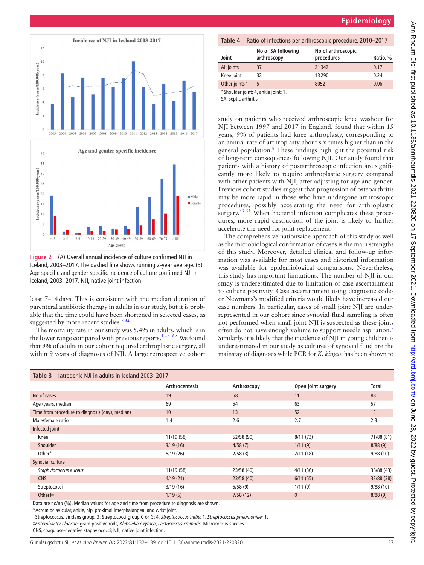



<span id="page-5-0"></span>**Figure 2** (A) Overall annual incidence of culture confirmed NJI in Iceland, 2003–2017. The dashed line shows running 2-year average. (B) Age-specific and gender-specific incidence of culture confirmed NJI in Iceland, 2003–2017. NJI, native joint infection.

least 7–14days. This is consistent with the median duration of parenteral antibiotic therapy in adults in our study, but it is probable that the time could have been shortened in selected cases, as suggested by more recent studies.<sup>732</sup>

The mortality rate in our study was 5.4% in adults, which is in the lower range compared with previous reports.<sup>124–68</sup> We found that 9% of adults in our cohort required arthroplastic surgery, all within 9 years of diagnoses of NJI. A large retrospective cohort

# **Epidemiology**

<span id="page-5-2"></span>

| Table 4                                                  | Ratio of infections per arthroscopic procedure, 2010-2017 |                                  |          |  |
|----------------------------------------------------------|-----------------------------------------------------------|----------------------------------|----------|--|
| Joint                                                    | No of SA following<br>arthroscopy                         | No of arthroscopic<br>procedures | Ratio, % |  |
| All joints                                               | 37                                                        | 21342                            | 0.17     |  |
| Knee joint                                               | 32                                                        | 13290                            | 0.24     |  |
| Other joints*                                            | 5                                                         | 8052                             | 0.06     |  |
| *Shoulder joint: 4, ankle joint: 1.<br>$CA$ continuation |                                                           |                                  |          |  |

A, septic arthritis

study on patients who received arthroscopic knee washout for NJI between 1997 and 2017 in England, found that within 15 years, 9% of patients had knee arthroplasty, corresponding to an annual rate of arthroplasty about six times higher than in the general population.<sup>8</sup> These findings highlight the potential risk of long-term consequences following NJI. Our study found that patients with a history of postarthroscopic infection are significantly more likely to require arthroplastic surgery compared with other patients with NJI, after adjusting for age and gender. Previous cohort studies suggest that progression of osteoarthritis may be more rapid in those who have undergone arthroscopic procedures, possibly accelerating the need for arthroplastic surgery.<sup>[33 34](#page-7-7)</sup> When bacterial infection complicates these procedures, more rapid destruction of the joint is likely to further accelerate the need for joint replacement.

The comprehensive nationwide approach of this study as well as the microbiological confirmation of cases is the main strengths of this study. Moreover, detailed clinical and follow-up information was available for most cases and historical information was available for epidemiological comparisons. Nevertheless, this study has important limitations. The number of NJI in our study is underestimated due to limitation of case ascertainment to culture positivity. Case ascertainment using diagnostic codes or Newmans's modified criteria would likely have increased our case numbers. In particular, cases of small joint NJI are underrepresented in our cohort since synovial fluid sampling is often not performed when small joint NJI is suspected as these joints often do not have enough volume to support needle aspiration.<sup>[7](#page-6-9)</sup> Similarly, it is likely that the incidence of NJI in young children is underestimated in our study as cultures of synovial fluid are the mainstay of diagnosis while PCR for *K. kingae* has been shown to

<span id="page-5-1"></span>

| latrogenic NJI in adults in Iceland 2003-2017<br>Table 3                                  |                       |             |                    |              |  |
|-------------------------------------------------------------------------------------------|-----------------------|-------------|--------------------|--------------|--|
|                                                                                           | <b>Arthrocentesis</b> | Arthroscopy | Open joint surgery | <b>Total</b> |  |
| No of cases                                                                               | 19                    | 58          | 11                 | 88           |  |
| Age (years, median)                                                                       | 69                    | 54          | 63                 | 57           |  |
| Time from procedure to diagnosis (days, median)                                           | 10                    | 13          | 52                 | 13           |  |
| Male/female ratio                                                                         | 1.4                   | 2.6         | 2.7                | 2.3          |  |
| Infected joint                                                                            |                       |             |                    |              |  |
| Knee                                                                                      | 11/19 (58)            | 52/58 (90)  | 8/11(73)           | 71/88 (81)   |  |
| <b>Shoulder</b>                                                                           | 3/19(16)              | 4/58(7)     | 1/11(9)            | 8/88(9)      |  |
| Other*                                                                                    | 5/19(26)              | 2/58(3)     | 2/11(18)           | 9/88(10)     |  |
| Synovial culture                                                                          |                       |             |                    |              |  |
| Staphylococcus aureus                                                                     | 11/19 (58)            | 23/58 (40)  | 4/11(36)           | 38/88 (43)   |  |
| <b>CNS</b>                                                                                | 4/19(21)              | 23/58(40)   | 6/11(55)           | 33/88 (38)   |  |
| Streptococcit                                                                             | 3/19(16)              | 5/58(9)     | 1/11(9)            | 9/88(10)     |  |
| Other##                                                                                   | 1/19(5)               | 7/58(12)    | $\overline{0}$     | 8/88(9)      |  |
| Data are no/no (%). Median values for age and time from procedure to diagnosis are shown. |                       |             |                    |              |  |

Data are no/no (%). Median values for age and time from procedure to diagnosis are shown.

\*Acromioclavicular, ankle, hip, proximal interphalangeal and wrist joint.

†Streptococcus, viridans group*:* 3, Streptococci group C or G: 4, *Streptococcus mitis:* 1, *Streptococcus pneumoniae:* 1.

‡*Enterobacter cloacae*, gram positive rods, *Klebsiella oxytoca*, *Lactococcus cremoris*, Micrococcus species.

CNS, coagulase-negative staphylococci; NJI, native joint infection.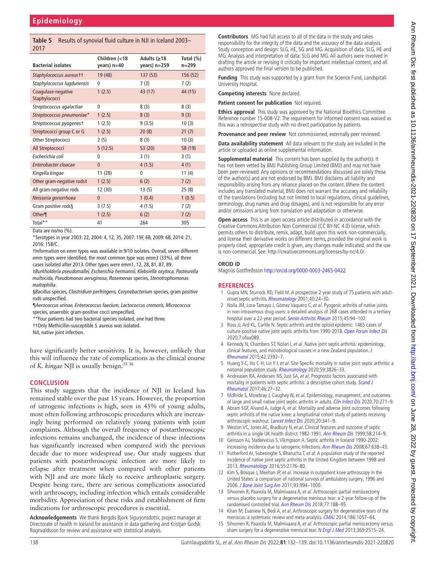## <span id="page-6-7"></span>**Table 5** Results of synovial fluid culture in NJI in Iceland 2003– 2017

| <b>Bacterial isolates</b>           | Children (<18<br>years) $n=40$ | Adults (≥18<br>years) n=259 | Total $(\%)$<br>$n = 299$ |
|-------------------------------------|--------------------------------|-----------------------------|---------------------------|
| Staphylococcus aureustt             | 19 (48)                        | 137(53)                     | 156 (52)                  |
| Staphylococcus lugdunensis          | 0                              | 7(3)                        | 7(2)                      |
| Coagulase-negative<br>Staphylococci | 1(2.5)                         | 43 (17)                     | 44 (15)                   |
| Streptococcus agalactiae            | 0                              | 8(3)                        | 8(3)                      |
| Streptococcus pneumoniae*           | 1(2.5)                         | 8(3)                        | 9(3)                      |
| Streptococcus pyogenest             | 1(2.5)                         | 9(3.5)                      | 10(3)                     |
| Streptococci group C or G           | 1(2.5)                         | 20(8)                       | 21(7)                     |
| Other Streptococci                  | 2(5)                           | 8(3)                        | 10(3)                     |
| All Streptococci                    | 5(12.5)                        | 53 (20)                     | 58 (19)                   |
| Escherichia coli                    | 0                              | 3(1)                        | 3(1)                      |
| Enterobacter cloacae                | $\mathbf{0}$                   | 4(1.5)                      | 4(1)                      |
| Kingella kingae                     | 11(28)                         | 0                           | 11 $(4)$                  |
| Other gram-negative rods‡           | 1(2.5)                         | 6(2)                        | 7(2)                      |
| All gram-negative rods              | 12 (30)                        | 13(5)                       | 25(8)                     |
| Neisseria gonorrhoea                | $\mathbf{0}$                   | 1(0.4)                      | 1(0.5)                    |
| Gram positive rods§                 | 3(7.5)                         | 4(1.5)                      | 7(2)                      |
| Other¶                              | 1(2.5)                         | 6(2)                        | 7(2)                      |
| Total**                             | 41                             | 264                         | 305                       |

Data are no/no (%).

\*Serotypes in year 2003: 22, 2004: 4, 12, 35, 2007: 19F, 6B, 2009: 6B, 2014: 21, 2016: 15B/C.

†Information on *emm* types was available in 9/10 isolates. Overall, seven different *emm* types were identified, the most common type was *emm*3 (33%), all three cases isolated after 2013. Other types were emm1, 12, 28, 81, 87, 89.

‡*Burkholderia pseudomallei, Escherichia hermannii, Klebsiella oxytoca, Pasteurella multocida, Pseudomonas aeruginosa, Rosemonas* species, *Stenotrophomonas maltophilia*.

§*Bacillus* species, *Clostridium perfringens, Corynebacterium* species, gram positive rods unspecified.

¶*Aerococcus urinae, Enterococcus faecium, Lactococcus cremoris, Micrococcus* species, anaerobic gram-positive cocci unspecified.

\*\*Four patients had two bacterial species isolated, one had three.

††Only Methicillin-susceptible *S. aureus* was isolated.

NJI, native joint infection.

have significantly better sensitivity. It is, however, unlikely that this will influence the rate of complications as the clinical course of *K. kingae* NJI is usually benign.<sup>[35 36](#page-7-8)</sup>

## **CONCLUSION**

This study suggests that the incidence of NJI in Iceland has remained stable over the past 15 years. However, the proportion of iatrogenic infections is high, seen in 45% of young adults, most often following arthroscopic procedures which are increasingly being performed on relatively young patients with joint complaints. Although the overall frequency of postarthroscopic infections remains unchanged, the incidence of these infections has significantly increased when compared with the previous decade due to more widespread use. Our study suggests that patients with postarthroscopic infection are more likely to relapse after treatment when compared with other patients with NJI and are more likely to receive arthroplastic surgery. Despite being rare, there are serious complications associated with arthroscopy, including infection which entails considerable morbidity. Appreciation of these risks and establishment of firm indications for arthroscopic procedures is essential.

**Acknowledgements** We thank Bergdis Bjork Sigurjonsdottir, project manager at Directorate of health in Iceland for assistance in data gathering and Kristjan Godsk Rognvaldsson for review and assistance with statistical analysis.

**Contributors** MG had full access to all of the data in the study and takes responsibility for the integrity of the data and the accuracy of the data analysis. Study conception and design: SLG, HE, SG and MG. Acquisition of data: SLG, HE and MG. Analysis and interpretation of data: SLG and MG. All authors were involved in drafting the article or revising it critically for important intellectual content, and all authors approved the final version to be published.

**Funding** This study was supported by a grant from the Science Fund, Landspitali University Hospital.

**Competing interests** None declared.

**Patient consent for publication** Not required.

**Ethics approval** This study was approved by the National Bioethics Committee. Reference number 15-008-V2. The requirement for informed consent was waived as this was a retrospective study with no direct participation by patients.

**Provenance and peer review** Not commissioned; externally peer reviewed.

**Data availability statement** All data relevant to the study are included in the article or uploaded as online supplemental information.

**Supplemental material** This content has been supplied by the author(s). It has not been vetted by BMJ Publishing Group Limited (BMJ) and may not have been peer-reviewed. Any opinions or recommendations discussed are solely those of the author(s) and are not endorsed by BMJ. BMJ disclaims all liability and responsibility arising from any reliance placed on the content. Where the content includes any translated material, BMJ does not warrant the accuracy and reliability of the translations (including but not limited to local regulations, clinical guidelines, terminology, drug names and drug dosages), and is not responsible for any error and/or omissions arising from translation and adaptation or otherwise.

**Open access** This is an open access article distributed in accordance with the Creative Commons Attribution Non Commercial (CC BY-NC 4.0) license, which permits others to distribute, remix, adapt, build upon this work non-commercially, and license their derivative works on different terms, provided the original work is properly cited, appropriate credit is given, any changes made indicated, and the use is non-commercial. See: [http://creativecommons.org/licenses/by-nc/4.0/.](http://creativecommons.org/licenses/by-nc/4.0/)

#### **ORCID iD**

Magnús Gottfreðsson<http://orcid.org/0000-0003-2465-0422>

## **REFERENCES**

- <span id="page-6-0"></span>1 Gupta MN, Sturrock RD, Field M. A prospective 2-year study of 75 patients with adult-onset septic arthritis. [Rheumatology](http://dx.doi.org/10.1093/rheumatology/40.1.24) 2001;40:24-30.
- 2 Nolla JM, Lora-Tamayo J, Gómez Vaquero C, et al. Pyogenic arthritis of native joints in non-intravenous drug users: a detailed analysis of 268 cases attended in a tertiary hospital over a 22-year period. [Semin Arthritis Rheum](http://dx.doi.org/10.1016/j.semarthrit.2015.01.009) 2015;45:94–102.
- <span id="page-6-8"></span>3 Ross JJ, Ard KL, Carlile N. Septic arthritis and the opioid epidemic: 1465 cases of culture-positive native joint septic arthritis from 1990-2018. [Open Forum Infect Dis](http://dx.doi.org/10.1093/ofid/ofaa089) 2020;7:ofaa089.
- <span id="page-6-5"></span>4 Kennedy N, Chambers ST, Nolan I, et al. Native joint septic arthritis: epidemiology, clinical features, and microbiological causes in a new Zealand population. [J](http://dx.doi.org/10.3899/jrheum.150434)  [Rheumatol](http://dx.doi.org/10.3899/jrheum.150434) 2015;42:2392–7.
- <span id="page-6-2"></span>5 Huang Y-C, Ho C-H, Lin Y-J, et al. Site-Specific mortality in native joint septic arthritis: a national population study. [Rheumatology](http://dx.doi.org/10.1093/rheumatology/keaa162) 2020;59:3826–33.
- 6 Andreasen RA, Andersen NS, Just SA, et al. Prognostic factors associated with mortality in patients with septic arthritis: a descriptive cohort study. Scand J [Rheumatol](http://dx.doi.org/10.3109/03009742.2016.1164241) 2017;46:27–32.
- <span id="page-6-9"></span>7 McBride S, Mowbray J, Caughey W, et al. Epidemiology, management, and outcomes of large and small native joint septic arthritis in adults. [Clin Infect Dis](http://dx.doi.org/10.1093/cid/ciz265) 2020;70:271-9.
- <span id="page-6-10"></span>8 Abram SGF, Alvand A, Judge A, et al. Mortality and adverse joint outcomes following septic arthritis of the native knee: a longitudinal cohort study of patients receiving arthroscopic washout. [Lancet Infect Dis](http://dx.doi.org/10.1016/S1473-3099(19)30419-0) 2020;20:341-9.
- <span id="page-6-1"></span>9 Weston VC, Jones AC, Bradbury N, et al. Clinical features and outcome of septic arthritis in a single UK health district 1982-1991. [Ann Rheum Dis](http://dx.doi.org/10.1136/ard.58.4.214) 1999;58:214-9.
- <span id="page-6-6"></span>10 Geirsson AJ, Statkevicius S, Víkingsson A. Septic arthritis in Iceland 1990-2002: increasing incidence due to iatrogenic infections. [Ann Rheum Dis](http://dx.doi.org/10.1136/ard.2007.077131) 2008;67:638-43.
- 11 Rutherford AI, Subesinghe S, Bharucha T, et al. A population study of the reported incidence of native joint septic arthritis in the United Kingdom between 1998 and 2013. [Rheumatology](http://dx.doi.org/10.1093/rheumatology/kew323) 2016;55:2176–80.
- <span id="page-6-3"></span>12 Kim S, Bosque J, Meehan JP, et al. Increase in outpatient knee arthroscopy in the United States: a comparison of national surveys of ambulatory surgery, 1996 and 2006. [J Bone Joint Surg Am](http://dx.doi.org/10.2106/JBJS.I.01618) 2011;93:994–1000.
- <span id="page-6-4"></span>13 Sihvonen R, Paavola M, Malmivaara A, et al. Arthroscopic partial meniscectomy versus placebo surgery for a degenerative meniscus tear: a 2-year follow-up of the randomised controlled trial. [Ann Rheum Dis](http://dx.doi.org/10.1136/annrheumdis-2017-211172) 2018;77:188–95.
- 14 Khan M, Evaniew N, Bedi A, et al. Arthroscopic surgery for degenerative tears of the meniscus: a systematic review and meta-analysis. [CMAJ](http://dx.doi.org/10.1503/cmaj.140433) 2014;186:1057–64.
- 15 Sihvonen R, Paavola M, Malmivaara A, et al. Arthroscopic partial meniscectomy versus sham surgery for a degenerative meniscal tear. [N Engl J Med](http://dx.doi.org/10.1056/NEJMoa1305189) 2013;369:2515-24.